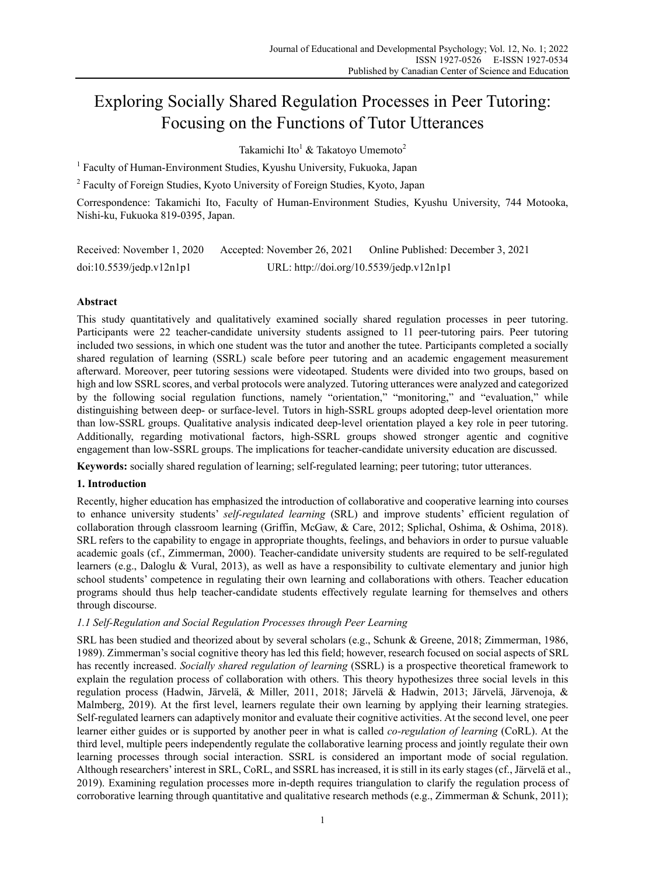# Exploring Socially Shared Regulation Processes in Peer Tutoring: Focusing on the Functions of Tutor Utterances

Takamichi Ito $^1$  & Takatoyo Umemoto $^2$ 

<sup>1</sup> Faculty of Human-Environment Studies, Kyushu University, Fukuoka, Japan

<sup>2</sup> Faculty of Foreign Studies, Kyoto University of Foreign Studies, Kyoto, Japan

Correspondence: Takamichi Ito, Faculty of Human-Environment Studies, Kyushu University, 744 Motooka, Nishi-ku, Fukuoka 819-0395, Japan.

| Received: November 1, 2020 | Accepted: November 26, 2021              | Online Published: December 3, 2021 |
|----------------------------|------------------------------------------|------------------------------------|
| doi:10.5539/jedp.v12n1p1   | URL: http://doi.org/10.5539/jedp.v12n1p1 |                                    |

# **Abstract**

This study quantitatively and qualitatively examined socially shared regulation processes in peer tutoring. Participants were 22 teacher-candidate university students assigned to 11 peer-tutoring pairs. Peer tutoring included two sessions, in which one student was the tutor and another the tutee. Participants completed a socially shared regulation of learning (SSRL) scale before peer tutoring and an academic engagement measurement afterward. Moreover, peer tutoring sessions were videotaped. Students were divided into two groups, based on high and low SSRL scores, and verbal protocols were analyzed. Tutoring utterances were analyzed and categorized by the following social regulation functions, namely "orientation," "monitoring," and "evaluation," while distinguishing between deep- or surface-level. Tutors in high-SSRL groups adopted deep-level orientation more than low-SSRL groups. Qualitative analysis indicated deep-level orientation played a key role in peer tutoring. Additionally, regarding motivational factors, high-SSRL groups showed stronger agentic and cognitive engagement than low-SSRL groups. The implications for teacher-candidate university education are discussed.

**Keywords:** socially shared regulation of learning; self-regulated learning; peer tutoring; tutor utterances.

# **1. Introduction**

Recently, higher education has emphasized the introduction of collaborative and cooperative learning into courses to enhance university students' *self-regulated learning* (SRL) and improve students' efficient regulation of collaboration through classroom learning (Griffin, McGaw, & Care, 2012; Splichal, Oshima, & Oshima, 2018). SRL refers to the capability to engage in appropriate thoughts, feelings, and behaviors in order to pursue valuable academic goals (cf., Zimmerman, 2000). Teacher-candidate university students are required to be self-regulated learners (e.g., Daloglu & Vural, 2013), as well as have a responsibility to cultivate elementary and junior high school students' competence in regulating their own learning and collaborations with others. Teacher education programs should thus help teacher-candidate students effectively regulate learning for themselves and others through discourse.

# *1.1 Self-Regulation and Social Regulation Processes through Peer Learning*

SRL has been studied and theorized about by several scholars (e.g., Schunk & Greene, 2018; Zimmerman, 1986, 1989). Zimmerman's social cognitive theory has led this field; however, research focused on social aspects of SRL has recently increased. *Socially shared regulation of learning* (SSRL) is a prospective theoretical framework to explain the regulation process of collaboration with others. This theory hypothesizes three social levels in this regulation process (Hadwin, Järvelä, & Miller, 2011, 2018; Järvelä & Hadwin, 2013; Järvelä, Järvenoja, & Malmberg, 2019). At the first level, learners regulate their own learning by applying their learning strategies. Self-regulated learners can adaptively monitor and evaluate their cognitive activities. At the second level, one peer learner either guides or is supported by another peer in what is called *co-regulation of learning* (CoRL). At the third level, multiple peers independently regulate the collaborative learning process and jointly regulate their own learning processes through social interaction. SSRL is considered an important mode of social regulation. Although researchers' interest in SRL, CoRL, and SSRL has increased, it is still in its early stages (cf., Järvelä et al., 2019). Examining regulation processes more in-depth requires triangulation to clarify the regulation process of corroborative learning through quantitative and qualitative research methods (e.g., Zimmerman & Schunk, 2011);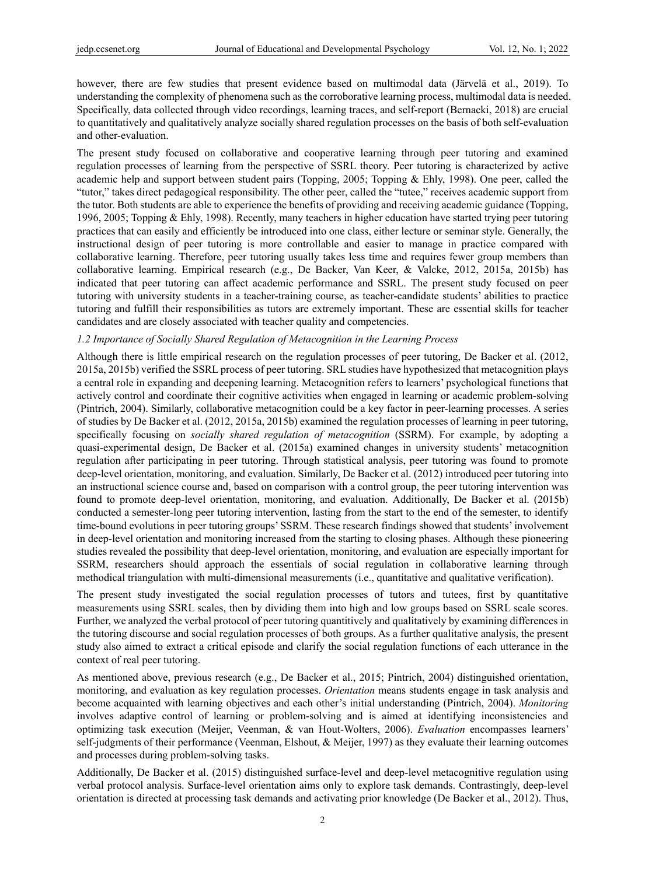however, there are few studies that present evidence based on multimodal data (Järvelä et al., 2019). To understanding the complexity of phenomena such as the corroborative learning process, multimodal data is needed. Specifically, data collected through video recordings, learning traces, and self-report (Bernacki, 2018) are crucial to quantitatively and qualitatively analyze socially shared regulation processes on the basis of both self-evaluation and other-evaluation.

The present study focused on collaborative and cooperative learning through peer tutoring and examined regulation processes of learning from the perspective of SSRL theory. Peer tutoring is characterized by active academic help and support between student pairs (Topping, 2005; Topping & Ehly, 1998). One peer, called the "tutor," takes direct pedagogical responsibility. The other peer, called the "tutee," receives academic support from the tutor. Both students are able to experience the benefits of providing and receiving academic guidance (Topping, 1996, 2005; Topping & Ehly, 1998). Recently, many teachers in higher education have started trying peer tutoring practices that can easily and efficiently be introduced into one class, either lecture or seminar style. Generally, the instructional design of peer tutoring is more controllable and easier to manage in practice compared with collaborative learning. Therefore, peer tutoring usually takes less time and requires fewer group members than collaborative learning. Empirical research (e.g., De Backer, Van Keer, & Valcke, 2012, 2015a, 2015b) has indicated that peer tutoring can affect academic performance and SSRL. The present study focused on peer tutoring with university students in a teacher-training course, as teacher-candidate students' abilities to practice tutoring and fulfill their responsibilities as tutors are extremely important. These are essential skills for teacher candidates and are closely associated with teacher quality and competencies.

#### *1.2 Importance of Socially Shared Regulation of Metacognition in the Learning Process*

Although there is little empirical research on the regulation processes of peer tutoring, De Backer et al. (2012, 2015a, 2015b) verified the SSRL process of peer tutoring. SRL studies have hypothesized that metacognition plays a central role in expanding and deepening learning. Metacognition refers to learners' psychological functions that actively control and coordinate their cognitive activities when engaged in learning or academic problem-solving (Pintrich, 2004). Similarly, collaborative metacognition could be a key factor in peer-learning processes. A series of studies by De Backer et al. (2012, 2015a, 2015b) examined the regulation processes of learning in peer tutoring, specifically focusing on *socially shared regulation of metacognition* (SSRM). For example, by adopting a quasi-experimental design, De Backer et al. (2015a) examined changes in university students' metacognition regulation after participating in peer tutoring. Through statistical analysis, peer tutoring was found to promote deep-level orientation, monitoring, and evaluation. Similarly, De Backer et al. (2012) introduced peer tutoring into an instructional science course and, based on comparison with a control group, the peer tutoring intervention was found to promote deep-level orientation, monitoring, and evaluation. Additionally, De Backer et al. (2015b) conducted a semester-long peer tutoring intervention, lasting from the start to the end of the semester, to identify time-bound evolutions in peer tutoring groups' SSRM. These research findings showed that students' involvement in deep-level orientation and monitoring increased from the starting to closing phases. Although these pioneering studies revealed the possibility that deep-level orientation, monitoring, and evaluation are especially important for SSRM, researchers should approach the essentials of social regulation in collaborative learning through methodical triangulation with multi-dimensional measurements (i.e., quantitative and qualitative verification).

The present study investigated the social regulation processes of tutors and tutees, first by quantitative measurements using SSRL scales, then by dividing them into high and low groups based on SSRL scale scores. Further, we analyzed the verbal protocol of peer tutoring quantitively and qualitatively by examining differences in the tutoring discourse and social regulation processes of both groups. As a further qualitative analysis, the present study also aimed to extract a critical episode and clarify the social regulation functions of each utterance in the context of real peer tutoring.

As mentioned above, previous research (e.g., De Backer et al., 2015; Pintrich, 2004) distinguished orientation, monitoring, and evaluation as key regulation processes. *Orientation* means students engage in task analysis and become acquainted with learning objectives and each other's initial understanding (Pintrich, 2004). *Monitoring*  involves adaptive control of learning or problem-solving and is aimed at identifying inconsistencies and optimizing task execution (Meijer, Veenman, & van Hout-Wolters, 2006). *Evaluation* encompasses learners' self-judgments of their performance (Veenman, Elshout, & Meijer, 1997) as they evaluate their learning outcomes and processes during problem-solving tasks.

Additionally, De Backer et al. (2015) distinguished surface-level and deep-level metacognitive regulation using verbal protocol analysis. Surface-level orientation aims only to explore task demands. Contrastingly, deep-level orientation is directed at processing task demands and activating prior knowledge (De Backer et al., 2012). Thus,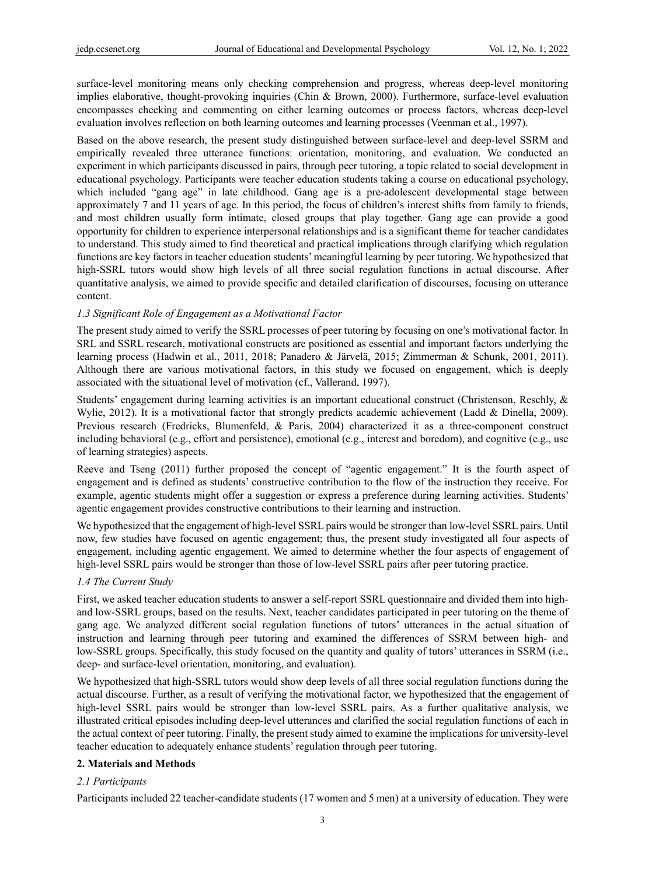surface-level monitoring means only checking comprehension and progress, whereas deep-level monitoring implies elaborative, thought-provoking inquiries (Chin & Brown, 2000). Furthermore, surface-level evaluation encompasses checking and commenting on either learning outcomes or process factors, whereas deep-level evaluation involves reflection on both learning outcomes and learning processes (Veenman et al., 1997).

Based on the above research, the present study distinguished between surface-level and deep-level SSRM and empirically revealed three utterance functions: orientation, monitoring, and evaluation. We conducted an experiment in which participants discussed in pairs, through peer tutoring, a topic related to social development in educational psychology. Participants were teacher education students taking a course on educational psychology, which included "gang age" in late childhood. Gang age is a pre-adolescent developmental stage between approximately 7 and 11 years of age. In this period, the focus of children's interest shifts from family to friends, and most children usually form intimate, closed groups that play together. Gang age can provide a good opportunity for children to experience interpersonal relationships and is a significant theme for teacher candidates to understand. This study aimed to find theoretical and practical implications through clarifying which regulation functions are key factors in teacher education students' meaningful learning by peer tutoring. We hypothesized that high-SSRL tutors would show high levels of all three social regulation functions in actual discourse. After quantitative analysis, we aimed to provide specific and detailed clarification of discourses, focusing on utterance content.

# *1.3 Significant Role of Engagement as a Motivational Factor*

The present study aimed to verify the SSRL processes of peer tutoring by focusing on one's motivational factor. In SRL and SSRL research, motivational constructs are positioned as essential and important factors underlying the learning process (Hadwin et al., 2011, 2018; Panadero & Järvelä, 2015; Zimmerman & Schunk, 2001, 2011). Although there are various motivational factors, in this study we focused on engagement, which is deeply associated with the situational level of motivation (cf., Vallerand, 1997).

Students' engagement during learning activities is an important educational construct (Christenson, Reschly, & Wylie, 2012). It is a motivational factor that strongly predicts academic achievement (Ladd & Dinella, 2009). Previous research (Fredricks, Blumenfeld, & Paris, 2004) characterized it as a three-component construct including behavioral (e.g., effort and persistence), emotional (e.g., interest and boredom), and cognitive (e.g., use of learning strategies) aspects.

Reeve and Tseng (2011) further proposed the concept of "agentic engagement." It is the fourth aspect of engagement and is defined as students' constructive contribution to the flow of the instruction they receive. For example, agentic students might offer a suggestion or express a preference during learning activities. Students' agentic engagement provides constructive contributions to their learning and instruction.

We hypothesized that the engagement of high-level SSRL pairs would be stronger than low-level SSRL pairs. Until now, few studies have focused on agentic engagement; thus, the present study investigated all four aspects of engagement, including agentic engagement. We aimed to determine whether the four aspects of engagement of high-level SSRL pairs would be stronger than those of low-level SSRL pairs after peer tutoring practice.

# *1.4 The Current Study*

First, we asked teacher education students to answer a self-report SSRL questionnaire and divided them into highand low-SSRL groups, based on the results. Next, teacher candidates participated in peer tutoring on the theme of gang age. We analyzed different social regulation functions of tutors' utterances in the actual situation of instruction and learning through peer tutoring and examined the differences of SSRM between high- and low-SSRL groups. Specifically, this study focused on the quantity and quality of tutors' utterances in SSRM (i.e., deep- and surface-level orientation, monitoring, and evaluation).

We hypothesized that high-SSRL tutors would show deep levels of all three social regulation functions during the actual discourse. Further, as a result of verifying the motivational factor, we hypothesized that the engagement of high-level SSRL pairs would be stronger than low-level SSRL pairs. As a further qualitative analysis, we illustrated critical episodes including deep-level utterances and clarified the social regulation functions of each in the actual context of peer tutoring. Finally, the present study aimed to examine the implications for university-level teacher education to adequately enhance students' regulation through peer tutoring.

#### **2. Materials and Methods**

#### *2.1 Participants*

Participants included 22 teacher-candidate students (17 women and 5 men) at a university of education. They were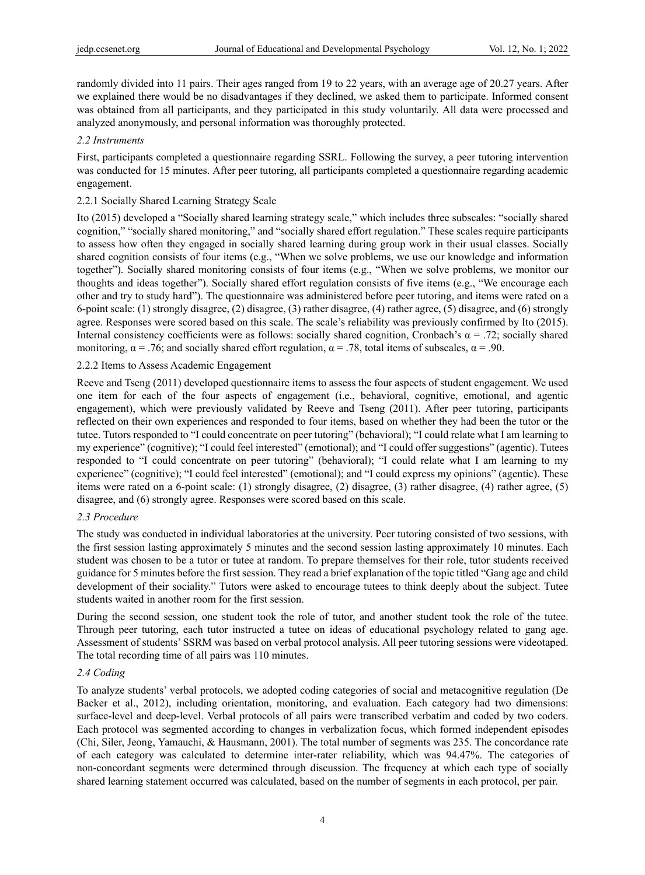randomly divided into 11 pairs. Their ages ranged from 19 to 22 years, with an average age of 20.27 years. After we explained there would be no disadvantages if they declined, we asked them to participate. Informed consent was obtained from all participants, and they participated in this study voluntarily. All data were processed and analyzed anonymously, and personal information was thoroughly protected.

## *2.2 Instruments*

First, participants completed a questionnaire regarding SSRL. Following the survey, a peer tutoring intervention was conducted for 15 minutes. After peer tutoring, all participants completed a questionnaire regarding academic engagement.

# 2.2.1 Socially Shared Learning Strategy Scale

Ito (2015) developed a "Socially shared learning strategy scale," which includes three subscales: "socially shared cognition," "socially shared monitoring," and "socially shared effort regulation." These scales require participants to assess how often they engaged in socially shared learning during group work in their usual classes. Socially shared cognition consists of four items (e.g., "When we solve problems, we use our knowledge and information together"). Socially shared monitoring consists of four items (e.g., "When we solve problems, we monitor our thoughts and ideas together"). Socially shared effort regulation consists of five items (e.g., "We encourage each other and try to study hard"). The questionnaire was administered before peer tutoring, and items were rated on a 6-point scale: (1) strongly disagree, (2) disagree, (3) rather disagree, (4) rather agree, (5) disagree, and (6) strongly agree. Responses were scored based on this scale. The scale's reliability was previously confirmed by Ito (2015). Internal consistency coefficients were as follows: socially shared cognition, Cronbach's  $\alpha = .72$ ; socially shared monitoring,  $\alpha = .76$ ; and socially shared effort regulation,  $\alpha = .78$ , total items of subscales,  $\alpha = .90$ .

## 2.2.2 Items to Assess Academic Engagement

Reeve and Tseng (2011) developed questionnaire items to assess the four aspects of student engagement. We used one item for each of the four aspects of engagement (i.e., behavioral, cognitive, emotional, and agentic engagement), which were previously validated by Reeve and Tseng (2011). After peer tutoring, participants reflected on their own experiences and responded to four items, based on whether they had been the tutor or the tutee. Tutors responded to "I could concentrate on peer tutoring" (behavioral); "I could relate what I am learning to my experience" (cognitive); "I could feel interested" (emotional); and "I could offer suggestions" (agentic). Tutees responded to "I could concentrate on peer tutoring" (behavioral); "I could relate what I am learning to my experience" (cognitive); "I could feel interested" (emotional); and "I could express my opinions" (agentic). These items were rated on a 6-point scale: (1) strongly disagree, (2) disagree, (3) rather disagree, (4) rather agree, (5) disagree, and (6) strongly agree. Responses were scored based on this scale.

#### *2.3 Procedure*

The study was conducted in individual laboratories at the university. Peer tutoring consisted of two sessions, with the first session lasting approximately 5 minutes and the second session lasting approximately 10 minutes. Each student was chosen to be a tutor or tutee at random. To prepare themselves for their role, tutor students received guidance for 5 minutes before the first session. They read a brief explanation of the topic titled "Gang age and child development of their sociality." Tutors were asked to encourage tutees to think deeply about the subject. Tutee students waited in another room for the first session.

During the second session, one student took the role of tutor, and another student took the role of the tutee. Through peer tutoring, each tutor instructed a tutee on ideas of educational psychology related to gang age. Assessment of students' SSRM was based on verbal protocol analysis. All peer tutoring sessions were videotaped. The total recording time of all pairs was 110 minutes.

# *2.4 Coding*

To analyze students' verbal protocols, we adopted coding categories of social and metacognitive regulation (De Backer et al., 2012), including orientation, monitoring, and evaluation. Each category had two dimensions: surface-level and deep-level. Verbal protocols of all pairs were transcribed verbatim and coded by two coders. Each protocol was segmented according to changes in verbalization focus, which formed independent episodes (Chi, Siler, Jeong, Yamauchi, & Hausmann, 2001). The total number of segments was 235. The concordance rate of each category was calculated to determine inter-rater reliability, which was 94.47%. The categories of non-concordant segments were determined through discussion. The frequency at which each type of socially shared learning statement occurred was calculated, based on the number of segments in each protocol, per pair.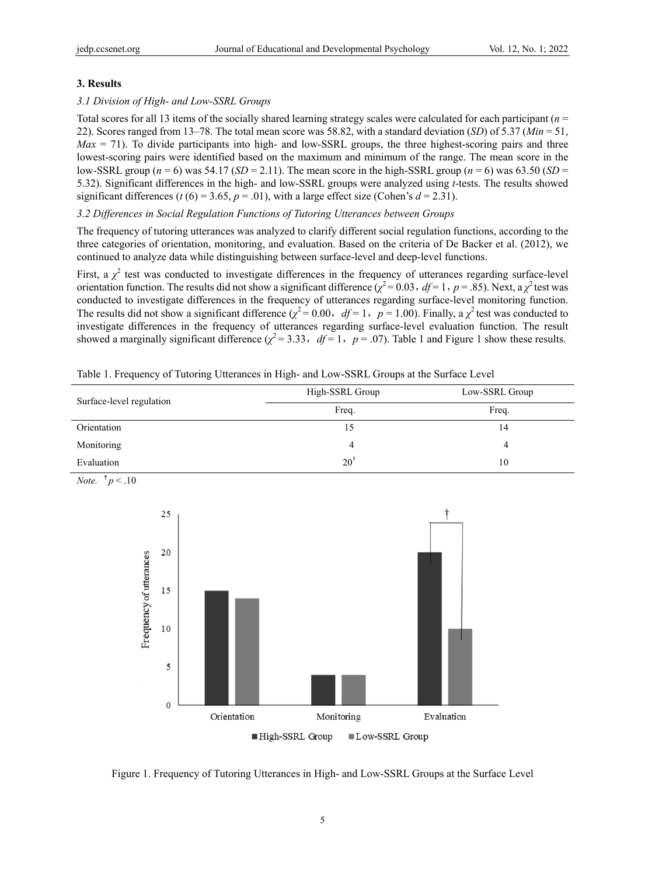# **3. Results**

# *3.1 Division of High- and Low-SSRL Groups*

Total scores for all 13 items of the socially shared learning strategy scales were calculated for each participant (*n* = 22). Scores ranged from 13–78. The total mean score was 58.82, with a standard deviation (*SD*) of 5.37 (*Min* = 51, *Max* = 71). To divide participants into high- and low-SSRL groups, the three highest-scoring pairs and three lowest-scoring pairs were identified based on the maximum and minimum of the range. The mean score in the low-SSRL group ( $n = 6$ ) was 54.17 (*SD* = 2.11). The mean score in the high-SSRL group ( $n = 6$ ) was 63.50 (*SD* = 5.32). Significant differences in the high- and low-SSRL groups were analyzed using *t*-tests. The results showed significant differences ( $t$  (6) = 3.65,  $p$  = .01), with a large effect size (Cohen's  $d = 2.31$ ).

# *3.2 Differences in Social Regulation Functions of Tutoring Utterances between Groups*

The frequency of tutoring utterances was analyzed to clarify different social regulation functions, according to the three categories of orientation, monitoring, and evaluation. Based on the criteria of De Backer et al. (2012), we continued to analyze data while distinguishing between surface-level and deep-level functions.

First, a  $\chi^2$  test was conducted to investigate differences in the frequency of utterances regarding surface-level orientation function. The results did not show a significant difference ( $\chi^2$  = 0.03, *df* = 1, *p* = .85). Next, a  $\chi^2$  test was conducted to investigate differences in the frequency of utterances regarding surface-level monitoring function. The results did not show a significant difference  $(\chi^2 = 0.00, df = 1, p = 1.00)$ . Finally, a  $\chi^2$  test was conducted to investigate differences in the frequency of utterances regarding surface-level evaluation function. The result showed a marginally significant difference  $(\chi^2 = 3.33, df = 1, p = .07)$ . Table 1 and Figure 1 show these results.

| Surface-level regulation | High-SSRL Group | Low-SSRL Group |
|--------------------------|-----------------|----------------|
|                          | Freq.           | Freq.          |
| Orientation              |                 | 14             |
| Monitoring               |                 |                |
| Evaluation               | $20^{\dagger}$  | 10             |

Table 1. Frequency of Tutoring Utterances in High- and Low-SSRL Groups at the Surface Level



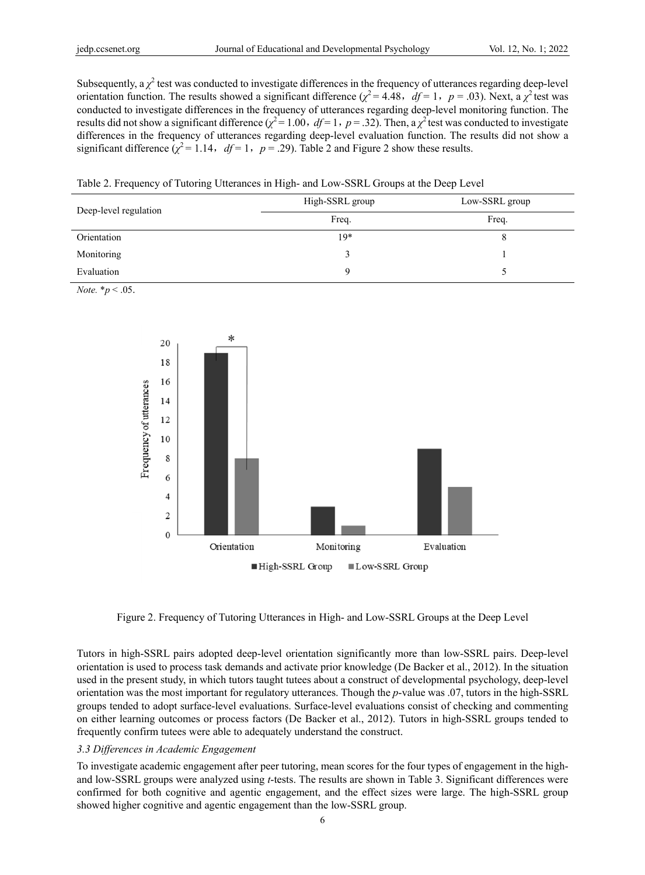Subsequently, a  $\chi^2$  test was conducted to investigate differences in the frequency of utterances regarding deep-level orientation function. The results showed a significant difference  $(\chi^2 = 4.48, df = 1, p = .03)$ . Next, a  $\chi^2$  test was conducted to investigate differences in the frequency of utterances regarding deep-level monitoring function. The results did not show a significant difference ( $\chi^2$  = 1.00, *df* = 1, *p* = .32). Then, a  $\chi^2$  test was conducted to investigate differences in the frequency of utterances regarding deep-level evaluation function. The results did not show a significant difference  $(\chi^2 = 1.14, df = 1, p = .29)$ . Table 2 and Figure 2 show these results.

Table 2. Frequency of Tutoring Utterances in High- and Low-SSRL Groups at the Deep Level

| Deep-level regulation | High-SSRL group | Low-SSRL group |  |
|-----------------------|-----------------|----------------|--|
|                       | Freq.           | Freq.          |  |
| Orientation           | $19*$           |                |  |
| Monitoring            |                 |                |  |
| Evaluation            |                 |                |  |

*Note.* \**p* < .05.



Figure 2. Frequency of Tutoring Utterances in High- and Low-SSRL Groups at the Deep Level

Tutors in high-SSRL pairs adopted deep-level orientation significantly more than low-SSRL pairs. Deep-level orientation is used to process task demands and activate prior knowledge (De Backer et al., 2012). In the situation used in the present study, in which tutors taught tutees about a construct of developmental psychology, deep-level orientation was the most important for regulatory utterances. Though the *p*-value was .07, tutors in the high-SSRL groups tended to adopt surface-level evaluations. Surface-level evaluations consist of checking and commenting on either learning outcomes or process factors (De Backer et al., 2012). Tutors in high-SSRL groups tended to frequently confirm tutees were able to adequately understand the construct.

# *3.3 Differences in Academic Engagement*

To investigate academic engagement after peer tutoring, mean scores for the four types of engagement in the highand low-SSRL groups were analyzed using *t*-tests. The results are shown in Table 3. Significant differences were confirmed for both cognitive and agentic engagement, and the effect sizes were large. The high-SSRL group showed higher cognitive and agentic engagement than the low-SSRL group.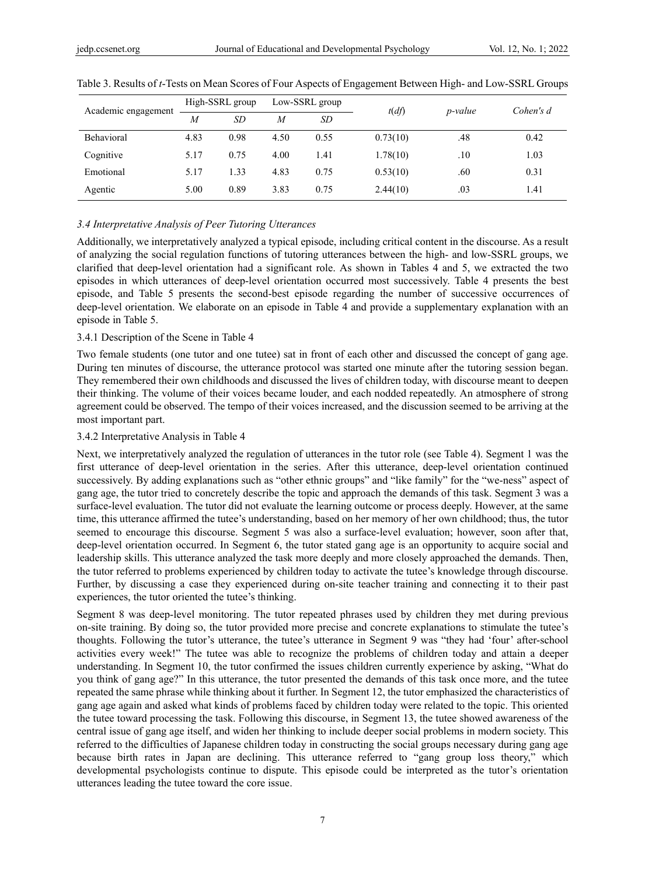| Academic engagement | High-SSRL group |      | Low-SSRL group |      | t(df)    | <i>p</i> -value | Cohen's d |
|---------------------|-----------------|------|----------------|------|----------|-----------------|-----------|
|                     | $\overline{M}$  | SD   | M              | SD   |          |                 |           |
| <b>Behavioral</b>   | 4.83            | 0.98 | 4.50           | 0.55 | 0.73(10) | .48             | 0.42      |
| Cognitive           | 5.17            | 0.75 | 4.00           | 1.41 | 1.78(10) | $.10\,$         | 1.03      |
| Emotional           | 5.17            | 1.33 | 4.83           | 0.75 | 0.53(10) | .60             | 0.31      |
| Agentic             | 5.00            | 0.89 | 3.83           | 0.75 | 2.44(10) | .03             | 1.41      |

Table 3. Results of *t*-Tests on Mean Scores of Four Aspects of Engagement Between High- and Low-SSRL Groups

## *3.4 Interpretative Analysis of Peer Tutoring Utterances*

Additionally, we interpretatively analyzed a typical episode, including critical content in the discourse. As a result of analyzing the social regulation functions of tutoring utterances between the high- and low-SSRL groups, we clarified that deep-level orientation had a significant role. As shown in Tables 4 and 5, we extracted the two episodes in which utterances of deep-level orientation occurred most successively. Table 4 presents the best episode, and Table 5 presents the second-best episode regarding the number of successive occurrences of deep-level orientation. We elaborate on an episode in Table 4 and provide a supplementary explanation with an episode in Table 5.

#### 3.4.1 Description of the Scene in Table 4

Two female students (one tutor and one tutee) sat in front of each other and discussed the concept of gang age. During ten minutes of discourse, the utterance protocol was started one minute after the tutoring session began. They remembered their own childhoods and discussed the lives of children today, with discourse meant to deepen their thinking. The volume of their voices became louder, and each nodded repeatedly. An atmosphere of strong agreement could be observed. The tempo of their voices increased, and the discussion seemed to be arriving at the most important part.

#### 3.4.2 Interpretative Analysis in Table 4

Next, we interpretatively analyzed the regulation of utterances in the tutor role (see Table 4). Segment 1 was the first utterance of deep-level orientation in the series. After this utterance, deep-level orientation continued successively. By adding explanations such as "other ethnic groups" and "like family" for the "we-ness" aspect of gang age, the tutor tried to concretely describe the topic and approach the demands of this task. Segment 3 was a surface-level evaluation. The tutor did not evaluate the learning outcome or process deeply. However, at the same time, this utterance affirmed the tutee's understanding, based on her memory of her own childhood; thus, the tutor seemed to encourage this discourse. Segment 5 was also a surface-level evaluation; however, soon after that, deep-level orientation occurred. In Segment 6, the tutor stated gang age is an opportunity to acquire social and leadership skills. This utterance analyzed the task more deeply and more closely approached the demands. Then, the tutor referred to problems experienced by children today to activate the tutee's knowledge through discourse. Further, by discussing a case they experienced during on-site teacher training and connecting it to their past experiences, the tutor oriented the tutee's thinking.

Segment 8 was deep-level monitoring. The tutor repeated phrases used by children they met during previous on-site training. By doing so, the tutor provided more precise and concrete explanations to stimulate the tutee's thoughts. Following the tutor's utterance, the tutee's utterance in Segment 9 was "they had 'four' after-school activities every week!" The tutee was able to recognize the problems of children today and attain a deeper understanding. In Segment 10, the tutor confirmed the issues children currently experience by asking, "What do you think of gang age?" In this utterance, the tutor presented the demands of this task once more, and the tutee repeated the same phrase while thinking about it further. In Segment 12, the tutor emphasized the characteristics of gang age again and asked what kinds of problems faced by children today were related to the topic. This oriented the tutee toward processing the task. Following this discourse, in Segment 13, the tutee showed awareness of the central issue of gang age itself, and widen her thinking to include deeper social problems in modern society. This referred to the difficulties of Japanese children today in constructing the social groups necessary during gang age because birth rates in Japan are declining. This utterance referred to "gang group loss theory," which developmental psychologists continue to dispute. This episode could be interpreted as the tutor's orientation utterances leading the tutee toward the core issue.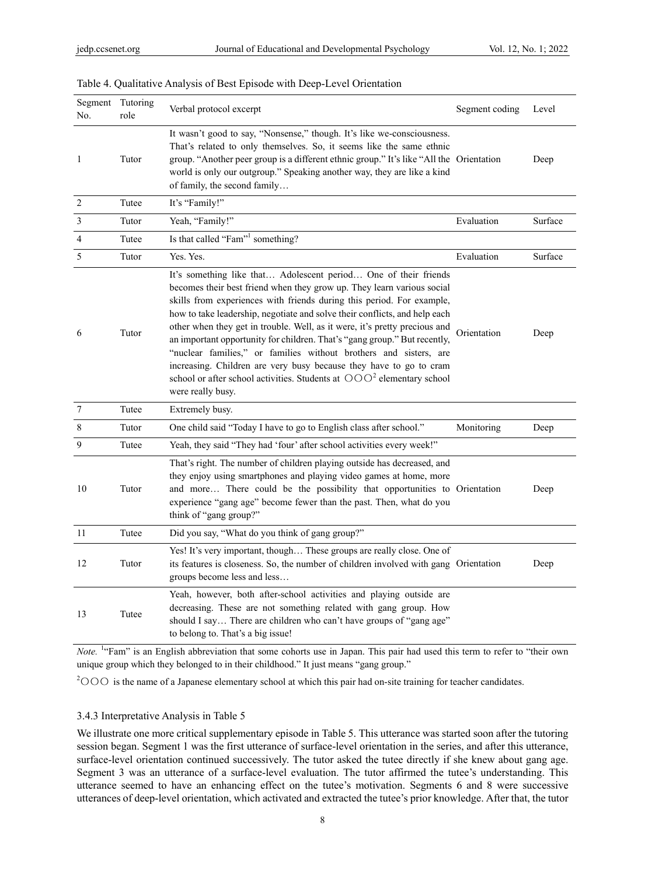| Segment Tutoring<br>No. | role  | Verbal protocol excerpt                                                                                                                                                                                                                                                                                                                                                                                                                                                                                                                                                                                                                                                                                | Segment coding | Level   |
|-------------------------|-------|--------------------------------------------------------------------------------------------------------------------------------------------------------------------------------------------------------------------------------------------------------------------------------------------------------------------------------------------------------------------------------------------------------------------------------------------------------------------------------------------------------------------------------------------------------------------------------------------------------------------------------------------------------------------------------------------------------|----------------|---------|
| 1                       | Tutor | It wasn't good to say, "Nonsense," though. It's like we-consciousness.<br>That's related to only themselves. So, it seems like the same ethnic<br>group. "Another peer group is a different ethnic group." It's like "All the Orientation<br>world is only our outgroup." Speaking another way, they are like a kind<br>of family, the second family                                                                                                                                                                                                                                                                                                                                                   |                | Deep    |
| $\overline{2}$          | Tutee | It's "Family!"                                                                                                                                                                                                                                                                                                                                                                                                                                                                                                                                                                                                                                                                                         |                |         |
| $\mathfrak{Z}$          | Tutor | Yeah, "Family!"                                                                                                                                                                                                                                                                                                                                                                                                                                                                                                                                                                                                                                                                                        | Evaluation     | Surface |
| $\overline{4}$          | Tutee | Is that called "Fam" <sup>1</sup> something?                                                                                                                                                                                                                                                                                                                                                                                                                                                                                                                                                                                                                                                           |                |         |
| 5                       | Tutor | Yes. Yes.                                                                                                                                                                                                                                                                                                                                                                                                                                                                                                                                                                                                                                                                                              | Evaluation     | Surface |
| 6                       | Tutor | It's something like that Adolescent period One of their friends<br>becomes their best friend when they grow up. They learn various social<br>skills from experiences with friends during this period. For example,<br>how to take leadership, negotiate and solve their conflicts, and help each<br>other when they get in trouble. Well, as it were, it's pretty precious and<br>an important opportunity for children. That's "gang group." But recently,<br>"nuclear families," or families without brothers and sisters, are<br>increasing. Children are very busy because they have to go to cram<br>school or after school activities. Students at $OOO2$ elementary school<br>were really busy. | Orientation    | Deep    |
| $\overline{7}$          | Tutee | Extremely busy.                                                                                                                                                                                                                                                                                                                                                                                                                                                                                                                                                                                                                                                                                        |                |         |
| 8                       | Tutor | One child said "Today I have to go to English class after school."                                                                                                                                                                                                                                                                                                                                                                                                                                                                                                                                                                                                                                     | Monitoring     | Deep    |
| 9                       | Tutee | Yeah, they said "They had 'four' after school activities every week!"                                                                                                                                                                                                                                                                                                                                                                                                                                                                                                                                                                                                                                  |                |         |
| 10                      | Tutor | That's right. The number of children playing outside has decreased, and<br>they enjoy using smartphones and playing video games at home, more<br>and more There could be the possibility that opportunities to Orientation<br>experience "gang age" become fewer than the past. Then, what do you<br>think of "gang group?"                                                                                                                                                                                                                                                                                                                                                                            |                | Deep    |
| 11                      | Tutee | Did you say, "What do you think of gang group?"                                                                                                                                                                                                                                                                                                                                                                                                                                                                                                                                                                                                                                                        |                |         |
| 12                      | Tutor | Yes! It's very important, though These groups are really close. One of<br>its features is closeness. So, the number of children involved with gang Orientation<br>groups become less and less                                                                                                                                                                                                                                                                                                                                                                                                                                                                                                          |                | Deep    |
| 13                      | Tutee | Yeah, however, both after-school activities and playing outside are<br>decreasing. These are not something related with gang group. How<br>should I say There are children who can't have groups of "gang age"<br>to belong to. That's a big issue!                                                                                                                                                                                                                                                                                                                                                                                                                                                    |                |         |

#### Table 4. Qualitative Analysis of Best Episode with Deep-Level Orientation

*Note.* <sup>1</sup> "Fam" is an English abbreviation that some cohorts use in Japan. This pair had used this term to refer to "their own unique group which they belonged to in their childhood." It just means "gang group."

<sup>2</sup> OOO is the name of a Japanese elementary school at which this pair had on-site training for teacher candidates.

#### 3.4.3 Interpretative Analysis in Table 5

We illustrate one more critical supplementary episode in Table 5. This utterance was started soon after the tutoring session began. Segment 1 was the first utterance of surface-level orientation in the series, and after this utterance, surface-level orientation continued successively. The tutor asked the tutee directly if she knew about gang age. Segment 3 was an utterance of a surface-level evaluation. The tutor affirmed the tutee's understanding. This utterance seemed to have an enhancing effect on the tutee's motivation. Segments 6 and 8 were successive utterances of deep-level orientation, which activated and extracted the tutee's prior knowledge. After that, the tutor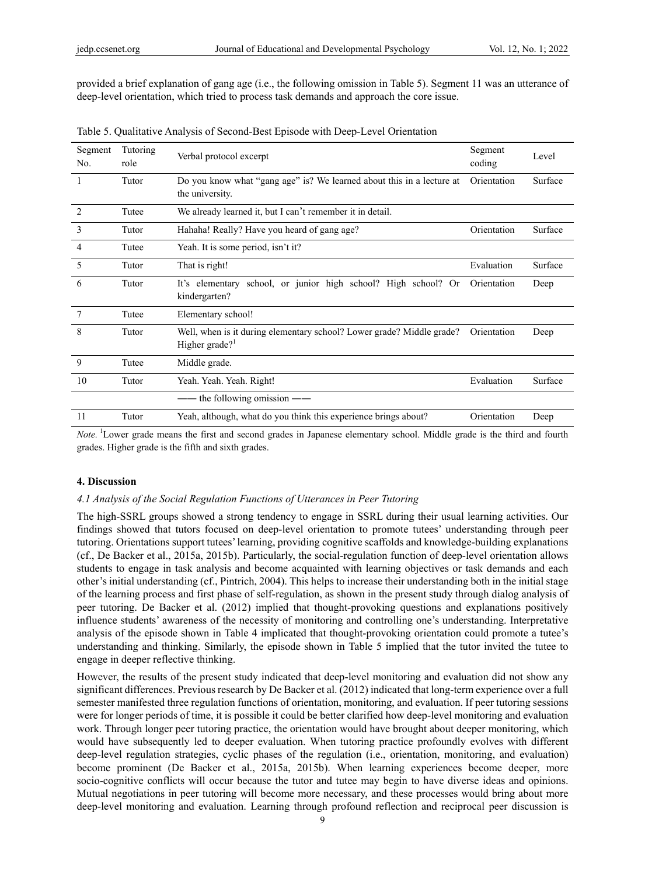provided a brief explanation of gang age (i.e., the following omission in Table 5). Segment 11 was an utterance of deep-level orientation, which tried to process task demands and approach the core issue.

| Segment<br>No. | Tutoring<br>role | Verbal protocol excerpt                                                                    | Segment<br>coding | Level   |
|----------------|------------------|--------------------------------------------------------------------------------------------|-------------------|---------|
| 1              | Tutor            | Do you know what "gang age" is? We learned about this in a lecture at<br>the university.   | Orientation       | Surface |
| 2              | Tutee            | We already learned it, but I can't remember it in detail.                                  |                   |         |
| 3              | Tutor            | Hahaha! Really? Have you heard of gang age?                                                | Orientation       | Surface |
| 4              | Tutee            | Yeah. It is some period, isn't it?                                                         |                   |         |
| 5              | Tutor            | That is right!                                                                             | Evaluation        | Surface |
| 6              | Tutor            | It's elementary school, or junior high school? High school? Or<br>kindergarten?            | Orientation       | Deep    |
| 7              | Tutee            | Elementary school!                                                                         |                   |         |
| 8              | Tutor            | Well, when is it during elementary school? Lower grade? Middle grade?<br>Higher grade? $1$ | Orientation       | Deep    |
| 9              | Tutee            | Middle grade.                                                                              |                   |         |
| 10             | Tutor            | Yeah. Yeah. Yeah. Right!                                                                   | Evaluation        | Surface |
|                |                  | the following omission $-\text{--}$                                                        |                   |         |
| 11             | Tutor            | Yeah, although, what do you think this experience brings about?                            | Orientation       | Deep    |

Table 5. Qualitative Analysis of Second-Best Episode with Deep-Level Orientation

*Note.* <sup>1</sup>Lower grade means the first and second grades in Japanese elementary school. Middle grade is the third and fourth grades. Higher grade is the fifth and sixth grades.

## **4. Discussion**

## *4.1 Analysis of the Social Regulation Functions of Utterances in Peer Tutoring*

The high-SSRL groups showed a strong tendency to engage in SSRL during their usual learning activities. Our findings showed that tutors focused on deep-level orientation to promote tutees' understanding through peer tutoring. Orientations support tutees' learning, providing cognitive scaffolds and knowledge-building explanations (cf., De Backer et al., 2015a, 2015b). Particularly, the social-regulation function of deep-level orientation allows students to engage in task analysis and become acquainted with learning objectives or task demands and each other's initial understanding (cf., Pintrich, 2004). This helps to increase their understanding both in the initial stage of the learning process and first phase of self-regulation, as shown in the present study through dialog analysis of peer tutoring. De Backer et al. (2012) implied that thought-provoking questions and explanations positively influence students' awareness of the necessity of monitoring and controlling one's understanding. Interpretative analysis of the episode shown in Table 4 implicated that thought-provoking orientation could promote a tutee's understanding and thinking. Similarly, the episode shown in Table 5 implied that the tutor invited the tutee to engage in deeper reflective thinking.

However, the results of the present study indicated that deep-level monitoring and evaluation did not show any significant differences. Previous research by De Backer et al. (2012) indicated that long-term experience over a full semester manifested three regulation functions of orientation, monitoring, and evaluation. If peer tutoring sessions were for longer periods of time, it is possible it could be better clarified how deep-level monitoring and evaluation work. Through longer peer tutoring practice, the orientation would have brought about deeper monitoring, which would have subsequently led to deeper evaluation. When tutoring practice profoundly evolves with different deep-level regulation strategies, cyclic phases of the regulation (i.e., orientation, monitoring, and evaluation) become prominent (De Backer et al., 2015a, 2015b). When learning experiences become deeper, more socio-cognitive conflicts will occur because the tutor and tutee may begin to have diverse ideas and opinions. Mutual negotiations in peer tutoring will become more necessary, and these processes would bring about more deep-level monitoring and evaluation. Learning through profound reflection and reciprocal peer discussion is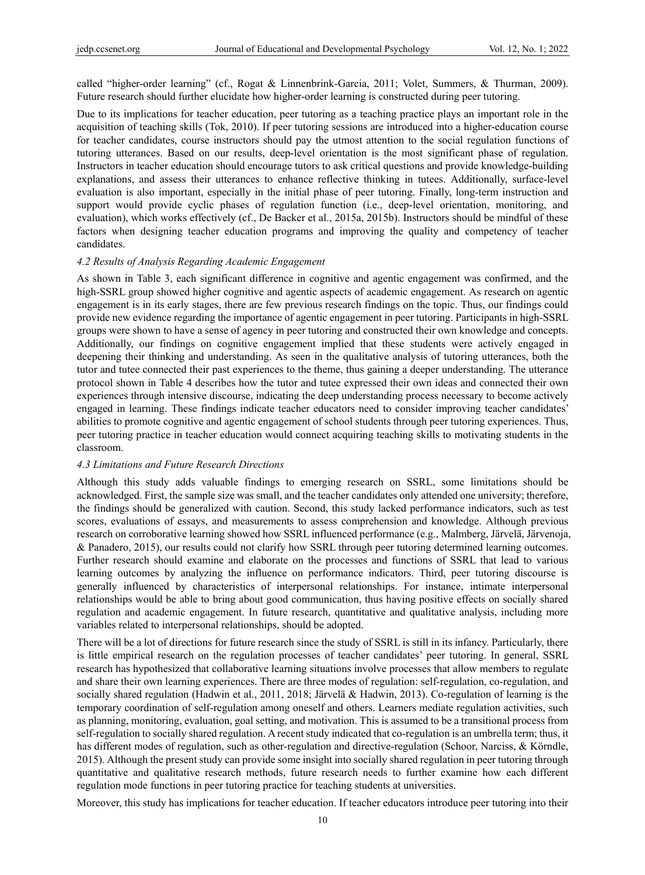called "higher-order learning" (cf., Rogat & Linnenbrink-Garcia, 2011; Volet, Summers, & Thurman, 2009). Future research should further elucidate how higher-order learning is constructed during peer tutoring.

Due to its implications for teacher education, peer tutoring as a teaching practice plays an important role in the acquisition of teaching skills (Tok, 2010). If peer tutoring sessions are introduced into a higher-education course for teacher candidates, course instructors should pay the utmost attention to the social regulation functions of tutoring utterances. Based on our results, deep-level orientation is the most significant phase of regulation. Instructors in teacher education should encourage tutors to ask critical questions and provide knowledge-building explanations, and assess their utterances to enhance reflective thinking in tutees. Additionally, surface-level evaluation is also important, especially in the initial phase of peer tutoring. Finally, long-term instruction and support would provide cyclic phases of regulation function (i.e., deep-level orientation, monitoring, and evaluation), which works effectively (cf., De Backer et al., 2015a, 2015b). Instructors should be mindful of these factors when designing teacher education programs and improving the quality and competency of teacher candidates.

#### *4.2 Results of Analysis Regarding Academic Engagement*

As shown in Table 3, each significant difference in cognitive and agentic engagement was confirmed, and the high-SSRL group showed higher cognitive and agentic aspects of academic engagement. As research on agentic engagement is in its early stages, there are few previous research findings on the topic. Thus, our findings could provide new evidence regarding the importance of agentic engagement in peer tutoring. Participants in high-SSRL groups were shown to have a sense of agency in peer tutoring and constructed their own knowledge and concepts. Additionally, our findings on cognitive engagement implied that these students were actively engaged in deepening their thinking and understanding. As seen in the qualitative analysis of tutoring utterances, both the tutor and tutee connected their past experiences to the theme, thus gaining a deeper understanding. The utterance protocol shown in Table 4 describes how the tutor and tutee expressed their own ideas and connected their own experiences through intensive discourse, indicating the deep understanding process necessary to become actively engaged in learning. These findings indicate teacher educators need to consider improving teacher candidates' abilities to promote cognitive and agentic engagement of school students through peer tutoring experiences. Thus, peer tutoring practice in teacher education would connect acquiring teaching skills to motivating students in the classroom.

## *4.3 Limitations and Future Research Directions*

Although this study adds valuable findings to emerging research on SSRL, some limitations should be acknowledged. First, the sample size was small, and the teacher candidates only attended one university; therefore, the findings should be generalized with caution. Second, this study lacked performance indicators, such as test scores, evaluations of essays, and measurements to assess comprehension and knowledge. Although previous research on corroborative learning showed how SSRL influenced performance (e.g., Malmberg, Järvelä, Järvenoja, & Panadero, 2015), our results could not clarify how SSRL through peer tutoring determined learning outcomes. Further research should examine and elaborate on the processes and functions of SSRL that lead to various learning outcomes by analyzing the influence on performance indicators. Third, peer tutoring discourse is generally influenced by characteristics of interpersonal relationships. For instance, intimate interpersonal relationships would be able to bring about good communication, thus having positive effects on socially shared regulation and academic engagement. In future research, quantitative and qualitative analysis, including more variables related to interpersonal relationships, should be adopted.

There will be a lot of directions for future research since the study of SSRL is still in its infancy. Particularly, there is little empirical research on the regulation processes of teacher candidates' peer tutoring. In general, SSRL research has hypothesized that collaborative learning situations involve processes that allow members to regulate and share their own learning experiences. There are three modes of regulation: self-regulation, co-regulation, and socially shared regulation (Hadwin et al., 2011, 2018; Järvelä & Hadwin, 2013). Co-regulation of learning is the temporary coordination of self-regulation among oneself and others. Learners mediate regulation activities, such as planning, monitoring, evaluation, goal setting, and motivation. This is assumed to be a transitional process from self-regulation to socially shared regulation. A recent study indicated that co-regulation is an umbrella term; thus, it has different modes of regulation, such as other-regulation and directive-regulation (Schoor, Narciss, & Körndle, 2015). Although the present study can provide some insight into socially shared regulation in peer tutoring through quantitative and qualitative research methods, future research needs to further examine how each different regulation mode functions in peer tutoring practice for teaching students at universities.

Moreover, this study has implications for teacher education. If teacher educators introduce peer tutoring into their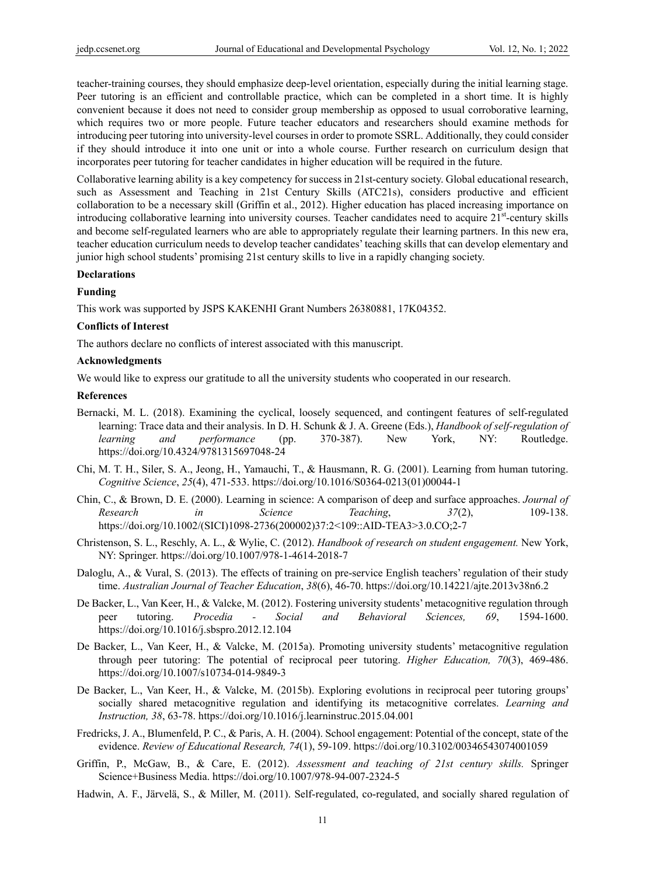teacher-training courses, they should emphasize deep-level orientation, especially during the initial learning stage. Peer tutoring is an efficient and controllable practice, which can be completed in a short time. It is highly convenient because it does not need to consider group membership as opposed to usual corroborative learning, which requires two or more people. Future teacher educators and researchers should examine methods for introducing peer tutoring into university-level courses in order to promote SSRL. Additionally, they could consider if they should introduce it into one unit or into a whole course. Further research on curriculum design that incorporates peer tutoring for teacher candidates in higher education will be required in the future.

Collaborative learning ability is a key competency for success in 21st-century society. Global educational research, such as Assessment and Teaching in 21st Century Skills (ATC21s), considers productive and efficient collaboration to be a necessary skill (Griffin et al., 2012). Higher education has placed increasing importance on introducing collaborative learning into university courses. Teacher candidates need to acquire  $21<sup>st</sup>$ -century skills and become self-regulated learners who are able to appropriately regulate their learning partners. In this new era, teacher education curriculum needs to develop teacher candidates' teaching skills that can develop elementary and junior high school students' promising 21st century skills to live in a rapidly changing society.

## **Declarations**

## **Funding**

This work was supported by JSPS KAKENHI Grant Numbers 26380881, 17K04352.

#### **Conflicts of Interest**

The authors declare no conflicts of interest associated with this manuscript.

#### **Acknowledgments**

We would like to express our gratitude to all the university students who cooperated in our research.

#### **References**

- Bernacki, M. L. (2018). Examining the cyclical, loosely sequenced, and contingent features of self-regulated learning: Trace data and their analysis. In D. H. Schunk & J. A. Greene (Eds.), *Handbook of self-regulation of learning and performance* (pp. 370-387). New York, NY: Routledge. https://doi.org/10.4324/9781315697048-24
- Chi, M. T. H., Siler, S. A., Jeong, H., Yamauchi, T., & Hausmann, R. G. (2001). Learning from human tutoring. *Cognitive Science*, *25*(4), 471-533. https://doi.org/10.1016/S0364-0213(01)00044-1
- Chin, C., & Brown, D. E. (2000). Learning in science: A comparison of deep and surface approaches. *Journal of Research in Science Teaching*, *37*(2), 109-138. https://doi.org/10.1002/(SICI)1098-2736(200002)37:2<109::AID-TEA3>3.0.CO;2-7
- Christenson, S. L., Reschly, A. L., & Wylie, C. (2012). *Handbook of research on student engagement.* New York, NY: Springer. https://doi.org/10.1007/978-1-4614-2018-7
- Daloglu, A., & Vural, S. (2013). The effects of training on pre-service English teachers' regulation of their study time. *Australian Journal of Teacher Education*, *38*(6), 46-70. https://doi.org/10.14221/ajte.2013v38n6.2
- De Backer, L., Van Keer, H., & Valcke, M. (2012). Fostering university students' metacognitive regulation through peer tutoring. *Procedia - Social and Behavioral Sciences, 69*, 1594-1600. https://doi.org/10.1016/j.sbspro.2012.12.104
- De Backer, L., Van Keer, H., & Valcke, M. (2015a). Promoting university students' metacognitive regulation through peer tutoring: The potential of reciprocal peer tutoring. *Higher Education, 70*(3), 469-486. https://doi.org/10.1007/s10734-014-9849-3
- De Backer, L., Van Keer, H., & Valcke, M. (2015b). Exploring evolutions in reciprocal peer tutoring groups' socially shared metacognitive regulation and identifying its metacognitive correlates. *Learning and Instruction, 38*, 63-78. https://doi.org/10.1016/j.learninstruc.2015.04.001
- Fredricks, J. A., Blumenfeld, P. C., & Paris, A. H. (2004). School engagement: Potential of the concept, state of the evidence. *Review of Educational Research, 74*(1), 59-109. https://doi.org/10.3102/00346543074001059
- Griffin, P., McGaw, B., & Care, E. (2012). *Assessment and teaching of 21st century skills.* Springer Science+Business Media. https://doi.org/10.1007/978-94-007-2324-5
- Hadwin, A. F., Järvelä, S., & Miller, M. (2011). Self-regulated, co-regulated, and socially shared regulation of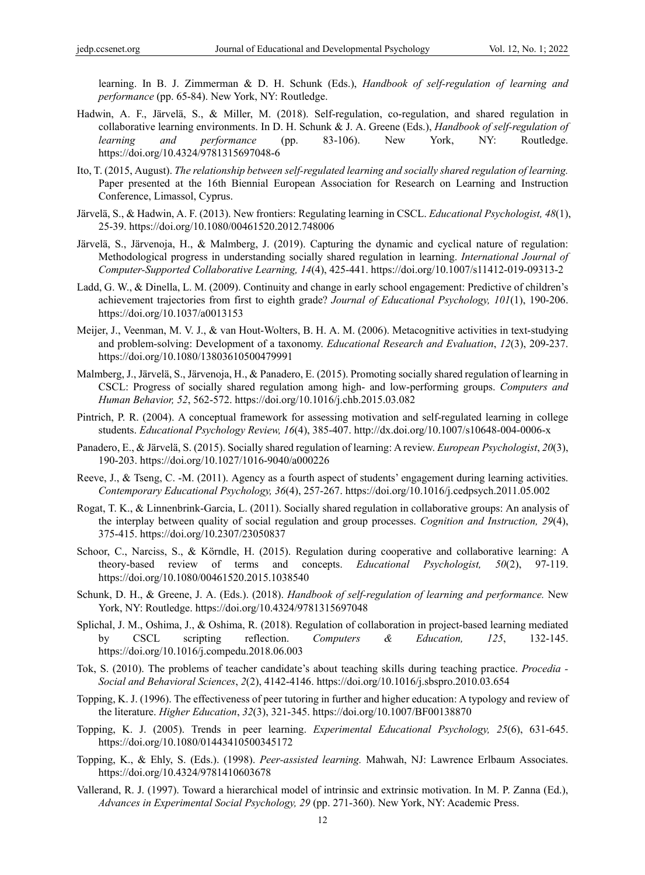learning. In B. J. Zimmerman & D. H. Schunk (Eds.), *Handbook of self-regulation of learning and performance* (pp. 65-84). New York, NY: Routledge.

- Hadwin, A. F., Järvelä, S., & Miller, M. (2018). Self-regulation, co-regulation, and shared regulation in collaborative learning environments. In D. H. Schunk & J. A. Greene (Eds.), *Handbook of self-regulation of learning and performance* (pp. 83-106). New York, NY: Routledge. https://doi.org/10.4324/9781315697048-6
- Ito, T. (2015, August). *The relationship between self-regulated learning and socially shared regulation of learning.* Paper presented at the 16th Biennial European Association for Research on Learning and Instruction Conference, Limassol, Cyprus.
- Järvelä, S., & Hadwin, A. F. (2013). New frontiers: Regulating learning in CSCL. *Educational Psychologist, 48*(1), 25-39. https://doi.org/10.1080/00461520.2012.748006
- Järvelä, S., Järvenoja, H., & Malmberg, J. (2019). Capturing the dynamic and cyclical nature of regulation: Methodological progress in understanding socially shared regulation in learning. *International Journal of Computer-Supported Collaborative Learning, 14*(4), 425-441. https://doi.org/10.1007/s11412-019-09313-2
- Ladd, G. W., & Dinella, L. M. (2009). Continuity and change in early school engagement: Predictive of children's achievement trajectories from first to eighth grade? *Journal of Educational Psychology, 101*(1), 190-206. https://doi.org/10.1037/a0013153
- Meijer, J., Veenman, M. V. J., & van Hout-Wolters, B. H. A. M. (2006). Metacognitive activities in text-studying and problem-solving: Development of a taxonomy. *Educational Research and Evaluation*, *12*(3), 209-237. https://doi.org/10.1080/13803610500479991
- Malmberg, J., Järvelä, S., Järvenoja, H., & Panadero, E. (2015). Promoting socially shared regulation of learning in CSCL: Progress of socially shared regulation among high- and low-performing groups. *Computers and Human Behavior, 52*, 562-572. https://doi.org/10.1016/j.chb.2015.03.082
- Pintrich, P. R. (2004). A conceptual framework for assessing motivation and self-regulated learning in college students. *Educational Psychology Review, 16*(4), 385-407. http://dx.doi.org/10.1007/s10648-004-0006-x
- Panadero, E., & Järvelä, S. (2015). Socially shared regulation of learning: A review. *European Psychologist*, *20*(3), 190-203. https://doi.org/10.1027/1016-9040/a000226
- Reeve, J., & Tseng, C. -M. (2011). Agency as a fourth aspect of students' engagement during learning activities. *Contemporary Educational Psychology, 36*(4), 257-267. https://doi.org/10.1016/j.cedpsych.2011.05.002
- Rogat, T. K., & Linnenbrink-Garcia, L. (2011). Socially shared regulation in collaborative groups: An analysis of the interplay between quality of social regulation and group processes. *Cognition and Instruction, 29*(4), 375-415. https://doi.org/10.2307/23050837
- Schoor, C., Narciss, S., & Körndle, H. (2015). Regulation during cooperative and collaborative learning: A theory-based review of terms and concepts. *Educational Psychologist, 50*(2), 97-119. https://doi.org/10.1080/00461520.2015.1038540
- Schunk, D. H., & Greene, J. A. (Eds.). (2018). *Handbook of self-regulation of learning and performance.* New York, NY: Routledge. https://doi.org/10.4324/9781315697048
- Splichal, J. M., Oshima, J., & Oshima, R. (2018). Regulation of collaboration in project-based learning mediated by CSCL scripting reflection. *Computers & Education, 125*, 132-145. https://doi.org/10.1016/j.compedu.2018.06.003
- Tok, S. (2010). The problems of teacher candidate's about teaching skills during teaching practice. *Procedia Social and Behavioral Sciences*, *2*(2), 4142-4146. https://doi.org/10.1016/j.sbspro.2010.03.654
- Topping, K. J. (1996). The effectiveness of peer tutoring in further and higher education: A typology and review of the literature. *Higher Education*, *32*(3), 321-345. https://doi.org/10.1007/BF00138870
- Topping, K. J. (2005). Trends in peer learning. *Experimental Educational Psychology, 25*(6), 631-645. https://doi.org/10.1080/01443410500345172
- Topping, K., & Ehly, S. (Eds.). (1998). *Peer-assisted learning.* Mahwah, NJ: Lawrence Erlbaum Associates. https://doi.org/10.4324/9781410603678
- Vallerand, R. J. (1997). Toward a hierarchical model of intrinsic and extrinsic motivation. In M. P. Zanna (Ed.), *Advances in Experimental Social Psychology, 29* (pp. 271-360). New York, NY: Academic Press.